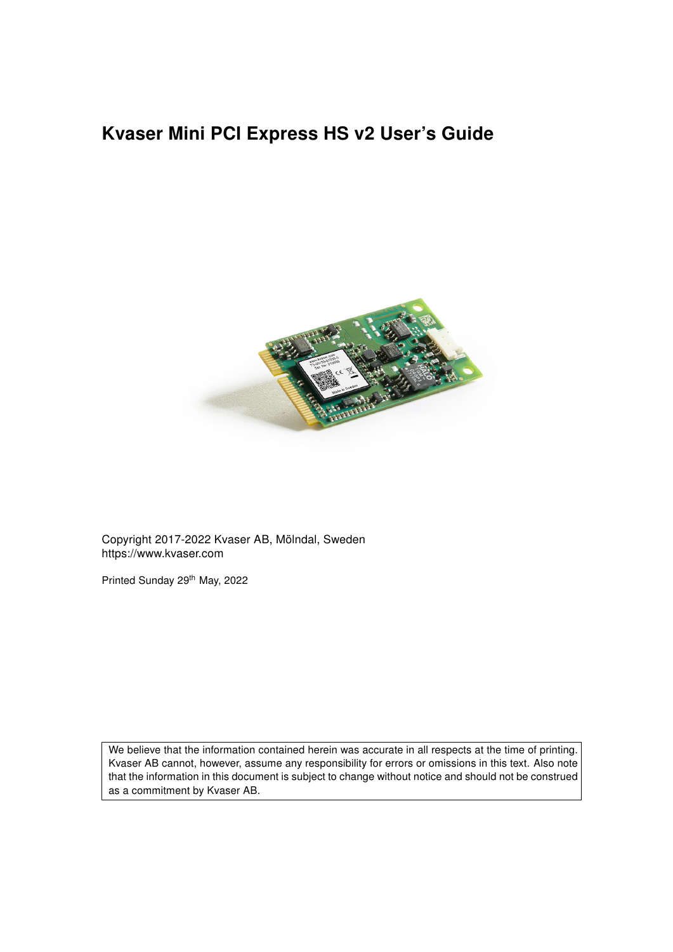# Kvaser Mini PCI Express HS v2 User's Guide



Copyright 2017-2022 Kvaser AB, Mölndal, Sweden https://www.kvaser.com

Printed Sunday 29<sup>th</sup> May, 2022

We believe that the information contained herein was accurate in all respects at the time of printing. Kvaser AB cannot, however, assume any responsibility for errors or omissions in this text. Also note that the information in this document is subject to change without notice and should not be construed as a commitment by Kvaser AB.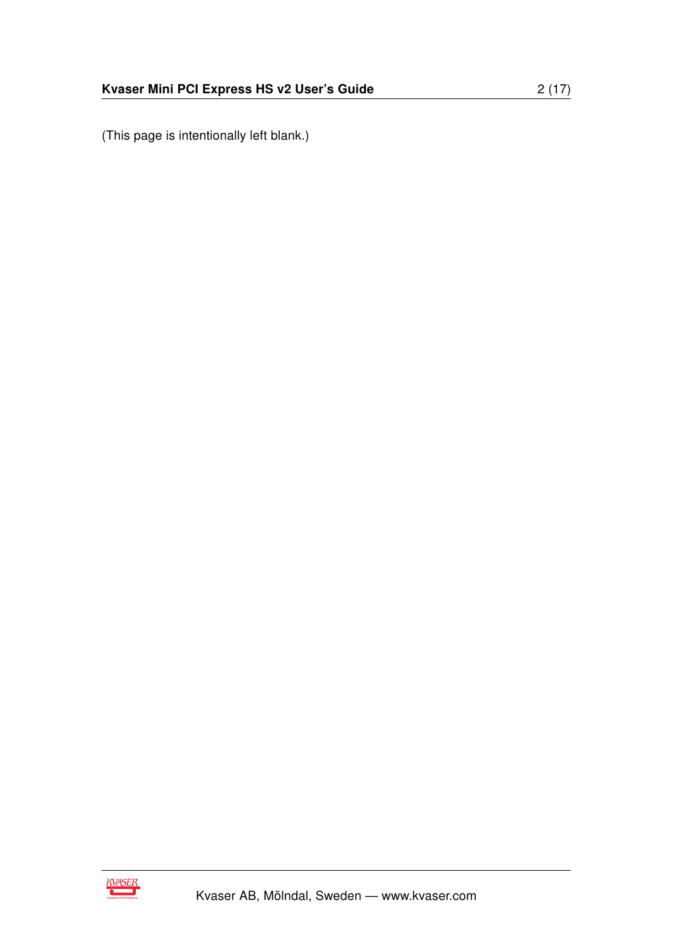(This page is intentionally left blank.)

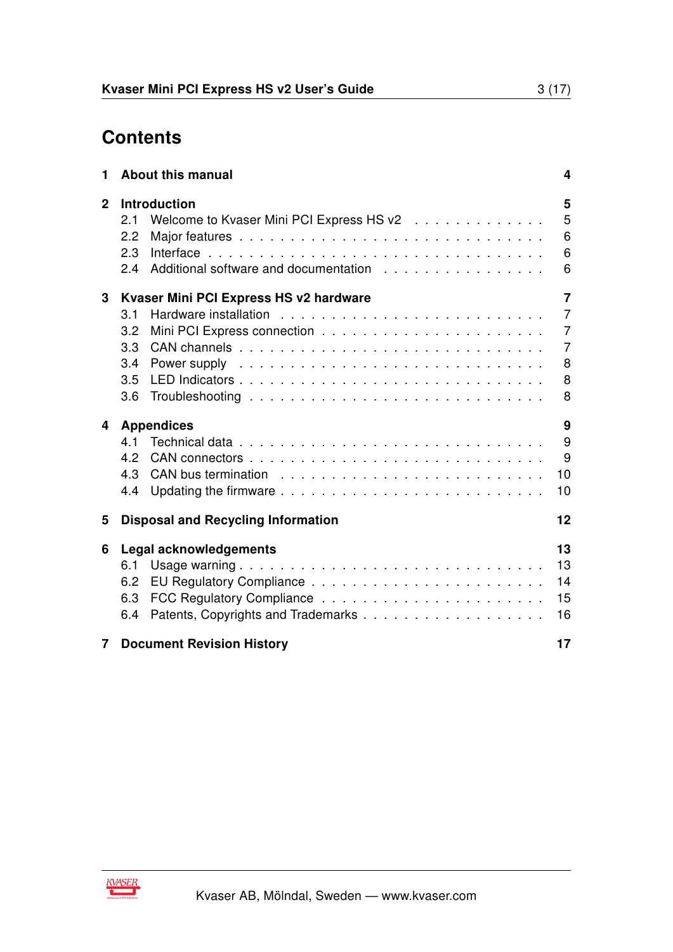# **Contents**

| 1.             |                                        | <b>About this manual</b>                                                                                                                                                                                                                                                 | 4                                                                                   |
|----------------|----------------------------------------|--------------------------------------------------------------------------------------------------------------------------------------------------------------------------------------------------------------------------------------------------------------------------|-------------------------------------------------------------------------------------|
| $\overline{2}$ | 2.1<br>2.2<br>2.3<br>2.4               | <b>Introduction</b><br>Welcome to Kvaser Mini PCI Express HS v2<br>Additional software and documentation                                                                                                                                                                 | 5<br>5<br>6<br>6<br>6                                                               |
| 3              | 3.1<br>3.2<br>3.3<br>3.4<br>3.5<br>3.6 | Kvaser Mini PCI Express HS v2 hardware<br>Power supply received and contact the contract of the contract of the contract of the contract of the contract of the contract of the contract of the contract of the contract of the contract of the contract of the contract | $\overline{7}$<br>$\overline{7}$<br>$\overline{7}$<br>$\overline{7}$<br>8<br>8<br>8 |
| 4              | 4.1<br>4.2<br>4.3<br>4.4               | <b>Appendices</b>                                                                                                                                                                                                                                                        | 9<br>9<br>9<br>10<br>10                                                             |
| 5              |                                        | <b>Disposal and Recycling Information</b>                                                                                                                                                                                                                                | 12                                                                                  |
| 6              | 6.1<br>6.2<br>6.3<br>6.4               | Legal acknowledgements                                                                                                                                                                                                                                                   | 13<br>13<br>14<br>15<br>16                                                          |
| $\overline{7}$ |                                        | <b>Document Revision History</b>                                                                                                                                                                                                                                         | 17                                                                                  |

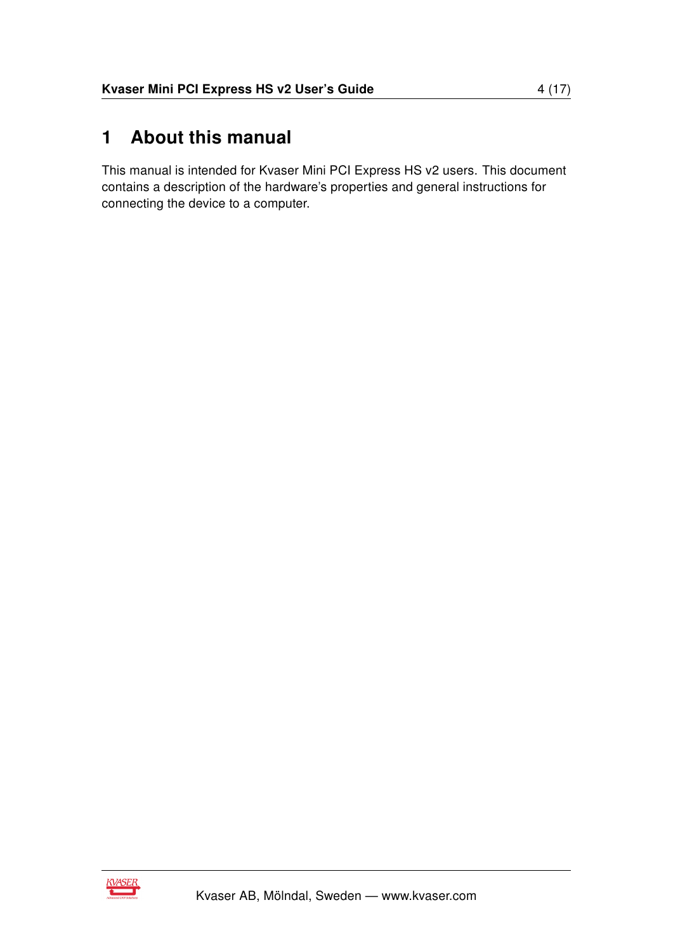## <span id="page-3-0"></span>1 About this manual

This manual is intended for Kvaser Mini PCI Express HS v2 users. This document contains a description of the hardware's properties and general instructions for connecting the device to a computer.

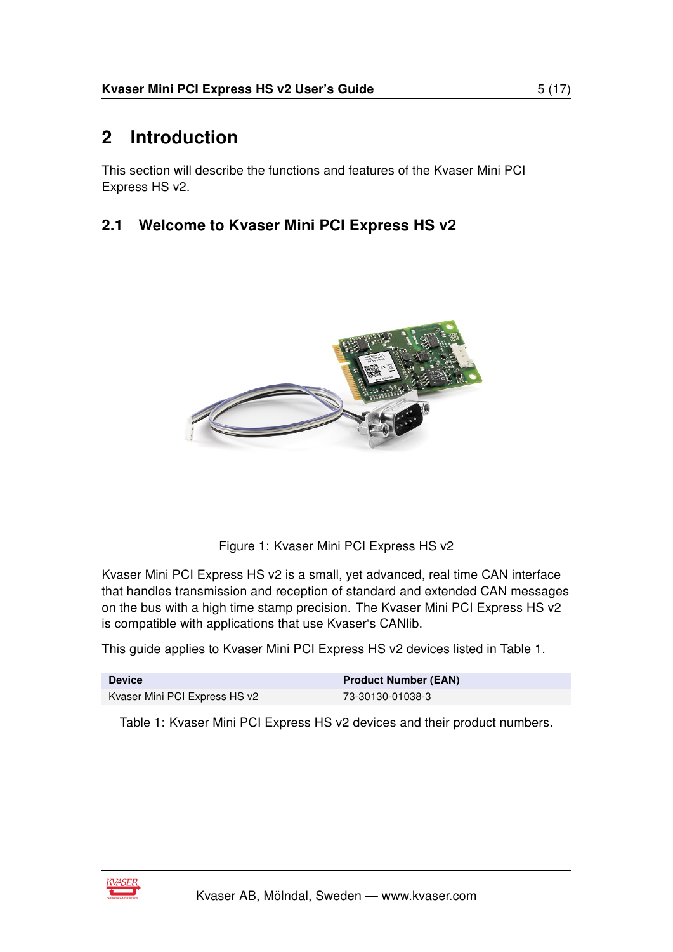# <span id="page-4-0"></span>2 Introduction

This section will describe the functions and features of the Kvaser Mini PCI Express HS v2.

### <span id="page-4-1"></span>2.1 Welcome to Kvaser Mini PCI Express HS v2



Figure 1: Kvaser Mini PCI Express HS v2

Kvaser Mini PCI Express HS v2 is a small, yet advanced, real time CAN interface that handles transmission and reception of standard and extended CAN messages on the bus with a high time stamp precision. The Kvaser Mini PCI Express HS v2 is compatible with applications that use Kvaser's CANlib.

This guide applies to Kvaser Mini PCI Express HS v2 devices listed in [Table 1.](#page-4-2)

| <b>Device</b>                 | <b>Product Number (EAN)</b> |
|-------------------------------|-----------------------------|
| Kvaser Mini PCI Express HS v2 | 73-30130-01038-3            |

<span id="page-4-2"></span>Table 1: Kvaser Mini PCI Express HS v2 devices and their product numbers.

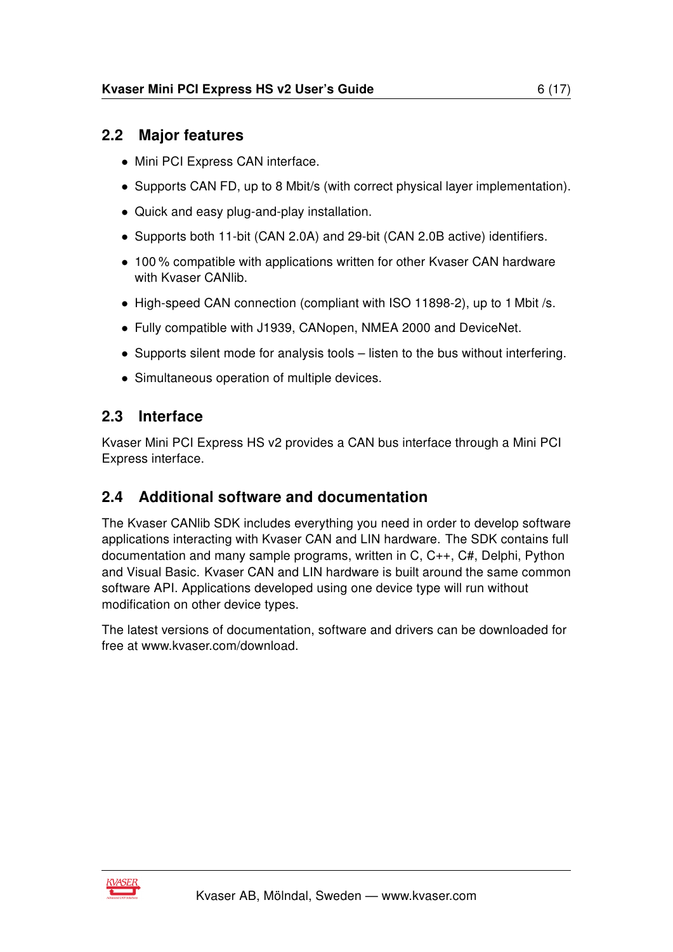#### <span id="page-5-0"></span>2.2 Major features

- Mini PCI Express CAN interface.
- Supports CAN FD, up to 8 Mbit/s (with correct physical layer implementation).
- Quick and easy plug-and-play installation.
- Supports both 11-bit (CAN 2.0A) and 29-bit (CAN 2.0B active) identifiers.
- 100 % compatible with applications written for other Kvaser CAN hardware with Kvaser CANlib.
- High-speed CAN connection (compliant with ISO 11898-2), up to 1 Mbit /s.
- Fully compatible with J1939, CANopen, NMEA 2000 and DeviceNet.
- Supports silent mode for analysis tools listen to the bus without interfering.
- Simultaneous operation of multiple devices.

### <span id="page-5-1"></span>2.3 Interface

Kvaser Mini PCI Express HS v2 provides a CAN bus interface through a Mini PCI Express interface.

### <span id="page-5-2"></span>2.4 Additional software and documentation

The Kvaser CANlib SDK includes everything you need in order to develop software applications interacting with Kvaser CAN and LIN hardware. The SDK contains full documentation and many sample programs, written in C, C++, C#, Delphi, Python and Visual Basic. Kvaser CAN and LIN hardware is built around the same common software API. Applications developed using one device type will run without modification on other device types.

The latest versions of documentation, software and drivers can be downloaded for free at [www.kvaser.com/download.](https://www.kvaser.com/download/)

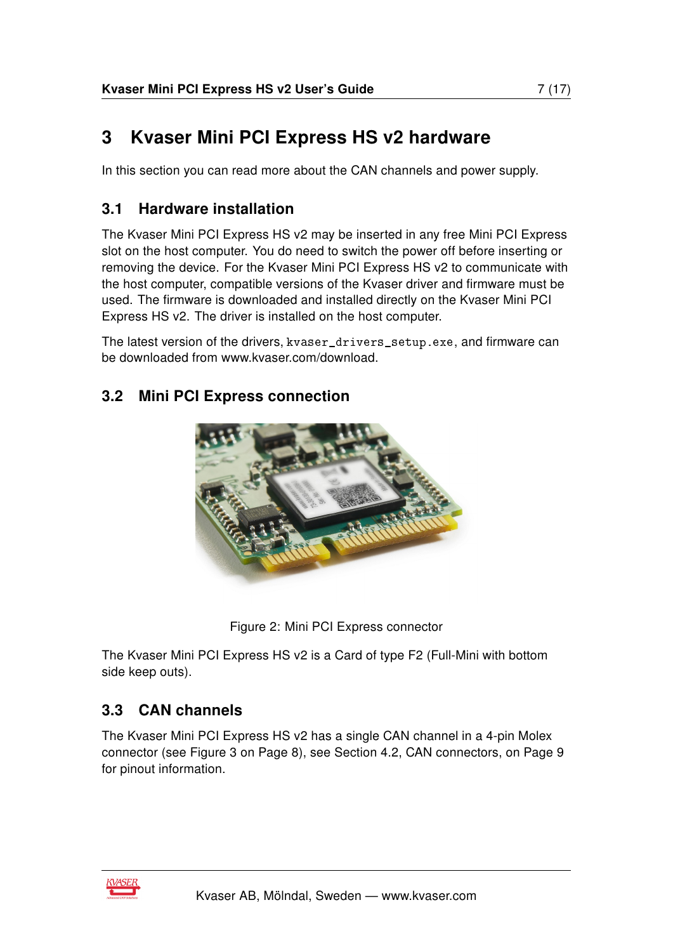# <span id="page-6-0"></span>3 Kvaser Mini PCI Express HS v2 hardware

In this section you can read more about the CAN channels and power supply.

## <span id="page-6-1"></span>3.1 Hardware installation

The Kvaser Mini PCI Express HS v2 may be inserted in any free Mini PCI Express slot on the host computer. You do need to switch the power off before inserting or removing the device. For the Kvaser Mini PCI Express HS v2 to communicate with the host computer, compatible versions of the Kvaser driver and firmware must be used. The firmware is downloaded and installed directly on the Kvaser Mini PCI Express HS v2. The driver is installed on the host computer.

The latest version of the drivers, kvaser drivers setup.exe, and firmware can be downloaded from [www.kvaser.com/download.](https://www.kvaser.com/download/)

### <span id="page-6-2"></span>3.2 Mini PCI Express connection



Figure 2: Mini PCI Express connector

The Kvaser Mini PCI Express HS v2 is a Card of type F2 (Full-Mini with bottom side keep outs).

### <span id="page-6-3"></span>3.3 CAN channels

The Kvaser Mini PCI Express HS v2 has a single CAN channel in a 4-pin Molex connector (see [Figure 3 on Page 8\)](#page-7-3), see [Section 4.2, CAN connectors, on Page 9](#page-8-2) for pinout information.

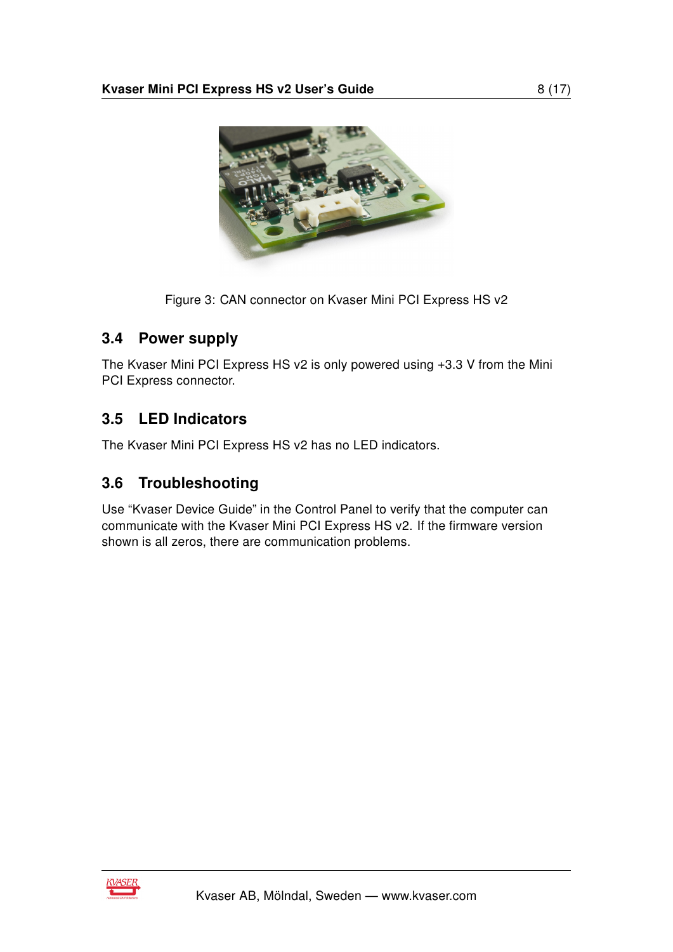

<span id="page-7-3"></span>Figure 3: CAN connector on Kvaser Mini PCI Express HS v2

#### <span id="page-7-0"></span>3.4 Power supply

The Kvaser Mini PCI Express HS v2 is only powered using +3.3 V from the Mini PCI Express connector.

### <span id="page-7-1"></span>3.5 LED Indicators

The Kvaser Mini PCI Express HS v2 has no LED indicators.

### <span id="page-7-2"></span>3.6 Troubleshooting

Use "Kvaser Device Guide" in the Control Panel to verify that the computer can communicate with the Kvaser Mini PCI Express HS v2. If the firmware version shown is all zeros, there are communication problems.

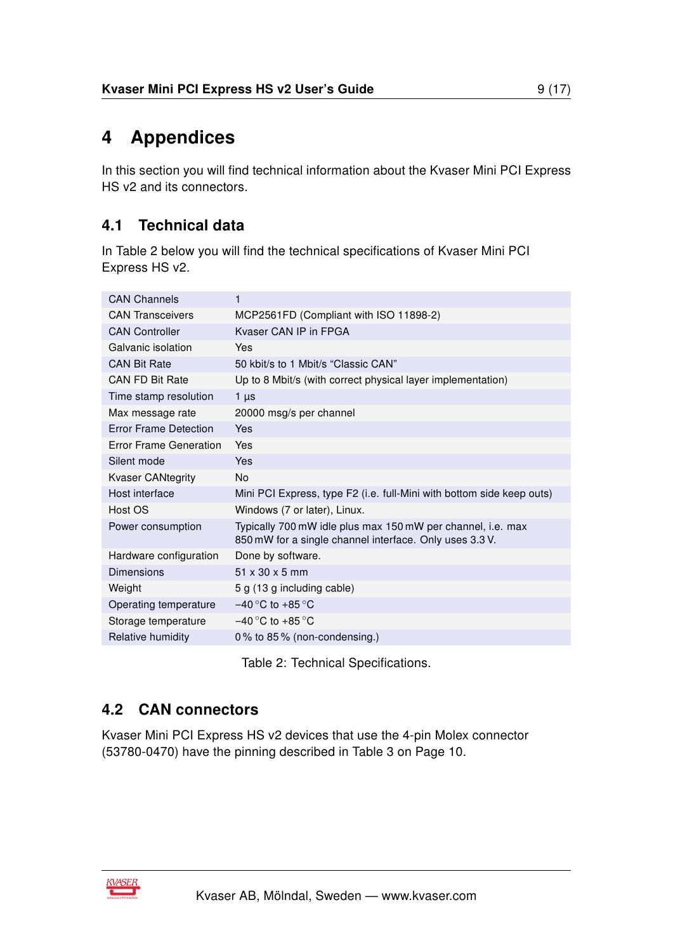# <span id="page-8-0"></span>4 Appendices

In this section you will find technical information about the Kvaser Mini PCI Express HS v2 and its connectors.

### <span id="page-8-1"></span>4.1 Technical data

In [Table 2](#page-8-3) below you will find the technical specifications of Kvaser Mini PCI Express HS v2.

| <b>CAN Channels</b>      | 1                                                                                                                      |
|--------------------------|------------------------------------------------------------------------------------------------------------------------|
| <b>CAN Transceivers</b>  | MCP2561FD (Compliant with ISO 11898-2)                                                                                 |
| <b>CAN Controller</b>    | Kvaser CAN IP in FPGA                                                                                                  |
| Galvanic isolation       | Yes                                                                                                                    |
| <b>CAN Bit Rate</b>      | 50 kbit/s to 1 Mbit/s "Classic CAN"                                                                                    |
| CAN FD Bit Rate          | Up to 8 Mbit/s (with correct physical layer implementation)                                                            |
| Time stamp resolution    | $1 \mu s$                                                                                                              |
| Max message rate         | 20000 msg/s per channel                                                                                                |
| Error Frame Detection    | Yes                                                                                                                    |
| Error Frame Generation   | Yes                                                                                                                    |
| Silent mode              | Yes                                                                                                                    |
|                          |                                                                                                                        |
| <b>Kvaser CANtegrity</b> | No                                                                                                                     |
| Host interface           | Mini PCI Express, type F2 (i.e. full-Mini with bottom side keep outs)                                                  |
| Host OS                  | Windows (7 or later), Linux.                                                                                           |
| Power consumption        | Typically 700 mW idle plus max 150 mW per channel, i.e. max<br>850 mW for a single channel interface. Only uses 3.3 V. |
| Hardware configuration   | Done by software.                                                                                                      |
| Dimensions               | $51 \times 30 \times 5$ mm                                                                                             |
| Weight                   | 5 g (13 g including cable)                                                                                             |
| Operating temperature    | $-40\,^{\circ}\text{C}$ to $+85\,^{\circ}\text{C}$                                                                     |
| Storage temperature      | $-40\,^{\circ}$ C to $+85\,^{\circ}$ C                                                                                 |
| Relative humidity        | 0% to 85% (non-condensing.)                                                                                            |

<span id="page-8-3"></span>Table 2: Technical Specifications.

### <span id="page-8-2"></span>4.2 CAN connectors

Kvaser Mini PCI Express HS v2 devices that use the 4-pin Molex connector (53780-0470) have the pinning described in [Table 3 on Page 10.](#page-9-2)

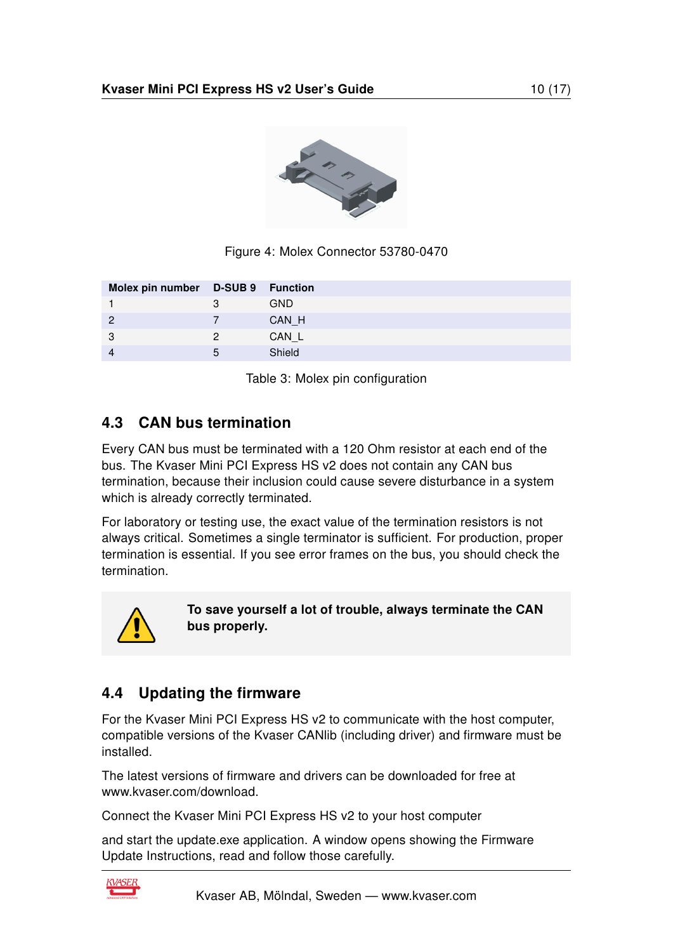

Figure 4: Molex Connector 53780-0470

| Molex pin number D-SUB 9 |   | <b>Function</b> |
|--------------------------|---|-----------------|
|                          |   | <b>GND</b>      |
| 2                        |   | CAN H           |
| 3                        | 2 | CAN L           |
| 4                        | 5 | Shield          |

<span id="page-9-2"></span>Table 3: Molex pin configuration

### <span id="page-9-0"></span>4.3 CAN bus termination

Every CAN bus must be terminated with a 120 Ohm resistor at each end of the bus. The Kvaser Mini PCI Express HS v2 does not contain any CAN bus termination, because their inclusion could cause severe disturbance in a system which is already correctly terminated.

For laboratory or testing use, the exact value of the termination resistors is not always critical. Sometimes a single terminator is sufficient. For production, proper termination is essential. If you see error frames on the bus, you should check the termination.



To save yourself a lot of trouble, always terminate the CAN bus properly.

### <span id="page-9-1"></span>4.4 Updating the firmware

For the Kvaser Mini PCI Express HS v2 to communicate with the host computer, compatible versions of the Kvaser CANlib (including driver) and firmware must be installed.

The latest versions of firmware and drivers can be downloaded for free at [www.kvaser.com/download.](https://www.kvaser.com/download/)

Connect the Kvaser Mini PCI Express HS v2 to your host computer

and start the update.exe application. A window opens showing the Firmware Update Instructions, read and follow those carefully.

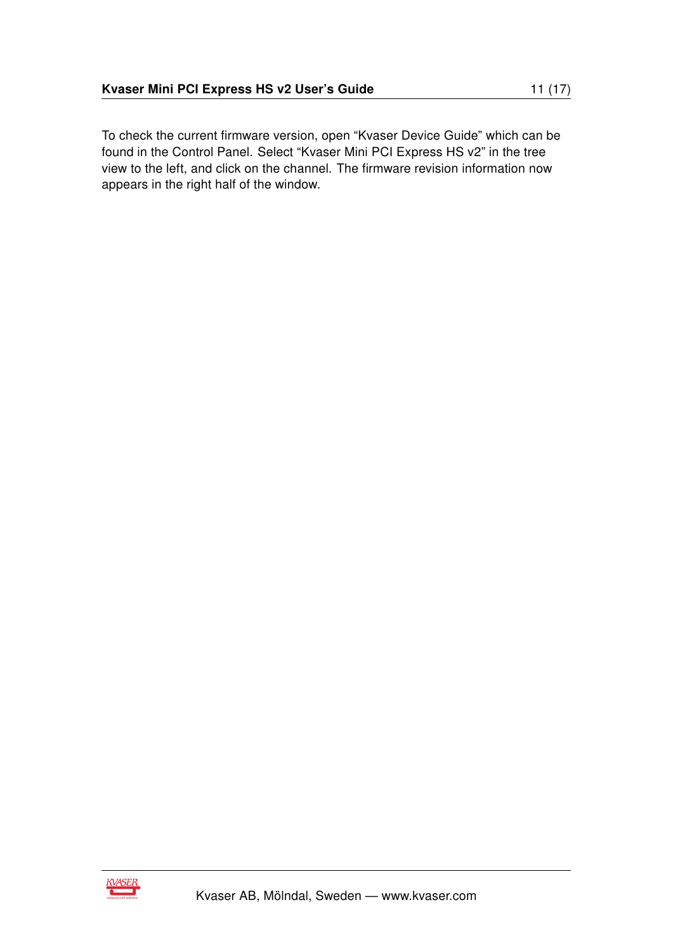To check the current firmware version, open "Kvaser Device Guide" which can be found in the Control Panel. Select "Kvaser Mini PCI Express HS v2" in the tree view to the left, and click on the channel. The firmware revision information now appears in the right half of the window.

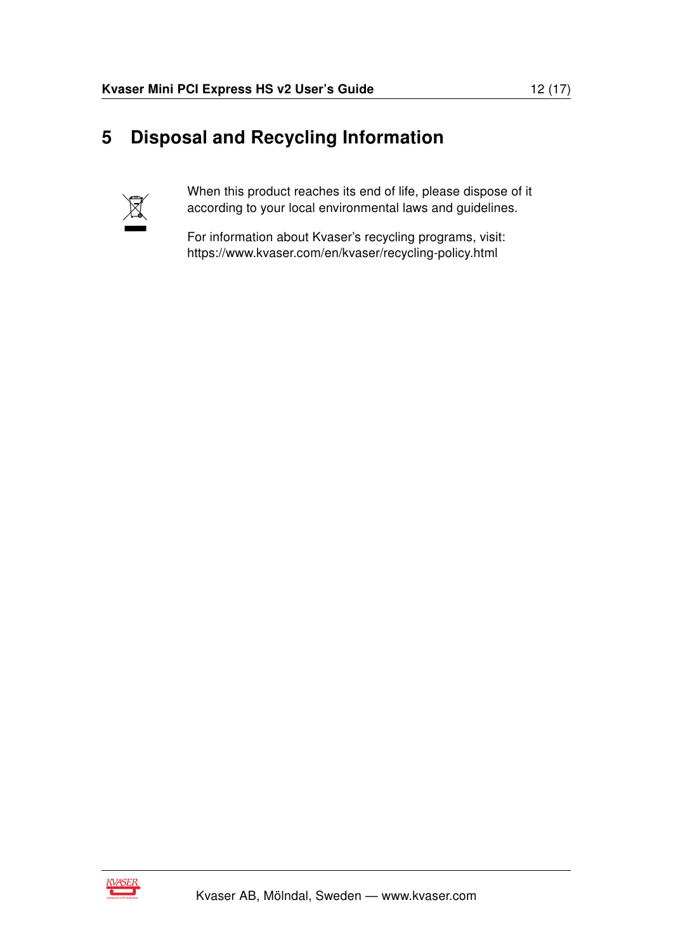# <span id="page-11-0"></span>5 Disposal and Recycling Information



When this product reaches its end of life, please dispose of it according to your local environmental laws and guidelines.

For information about Kvaser's recycling programs, visit: <https://www.kvaser.com/en/kvaser/recycling-policy.html>

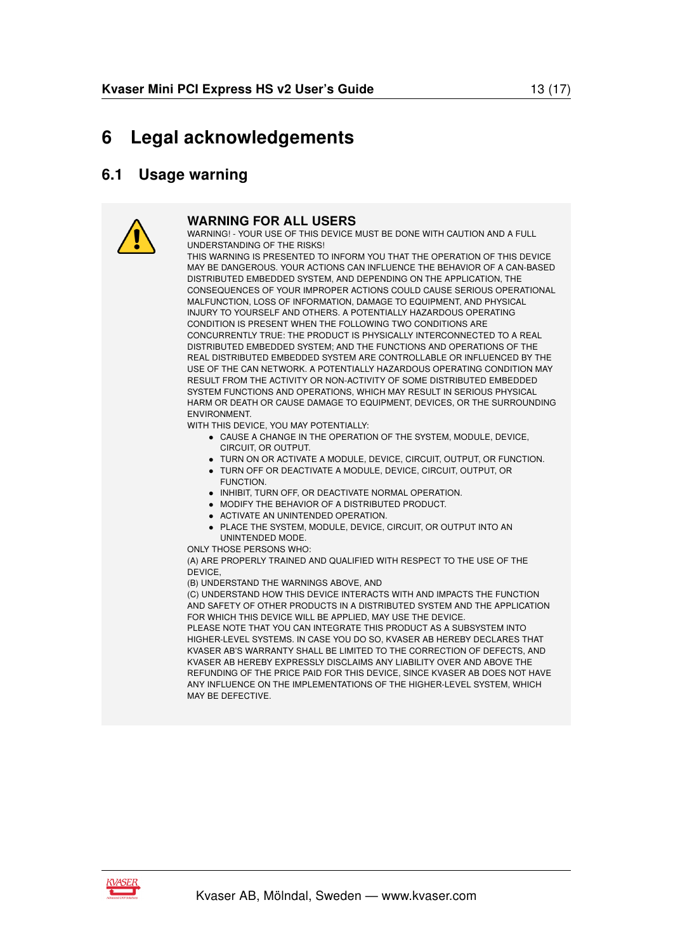## <span id="page-12-0"></span>6 Legal acknowledgements

#### <span id="page-12-1"></span>6.1 Usage warning



#### WARNING FOR ALL USERS

WARNING! - YOUR USE OF THIS DEVICE MUST BE DONE WITH CAUTION AND A FULL UNDERSTANDING OF THE RISKS!

THIS WARNING IS PRESENTED TO INFORM YOU THAT THE OPERATION OF THIS DEVICE MAY BE DANGEROUS. YOUR ACTIONS CAN INFLUENCE THE BEHAVIOR OF A CAN-BASED DISTRIBUTED EMBEDDED SYSTEM, AND DEPENDING ON THE APPLICATION, THE CONSEQUENCES OF YOUR IMPROPER ACTIONS COULD CAUSE SERIOUS OPERATIONAL MALFUNCTION, LOSS OF INFORMATION, DAMAGE TO EQUIPMENT, AND PHYSICAL INJURY TO YOURSELF AND OTHERS. A POTENTIALLY HAZARDOUS OPERATING CONDITION IS PRESENT WHEN THE FOLLOWING TWO CONDITIONS ARE CONCURRENTLY TRUE: THE PRODUCT IS PHYSICALLY INTERCONNECTED TO A REAL DISTRIBUTED EMBEDDED SYSTEM; AND THE FUNCTIONS AND OPERATIONS OF THE REAL DISTRIBUTED EMBEDDED SYSTEM ARE CONTROLLABLE OR INFLUENCED BY THE USE OF THE CAN NETWORK. A POTENTIALLY HAZARDOUS OPERATING CONDITION MAY RESULT FROM THE ACTIVITY OR NON-ACTIVITY OF SOME DISTRIBUTED EMBEDDED SYSTEM FUNCTIONS AND OPERATIONS, WHICH MAY RESULT IN SERIOUS PHYSICAL HARM OR DEATH OR CAUSE DAMAGE TO EQUIPMENT, DEVICES, OR THE SURROUNDING ENVIRONMENT.

WITH THIS DEVICE, YOU MAY POTENTIALLY:

- CAUSE A CHANGE IN THE OPERATION OF THE SYSTEM, MODULE, DEVICE, CIRCUIT, OR OUTPUT.
- TURN ON OR ACTIVATE A MODULE, DEVICE, CIRCUIT, OUTPUT, OR FUNCTION.
- TURN OFF OR DEACTIVATE A MODULE, DEVICE, CIRCUIT, OUTPUT, OR FUNCTION.
- INHIBIT, TURN OFF, OR DEACTIVATE NORMAL OPERATION.
- MODIFY THE BEHAVIOR OF A DISTRIBUTED PRODUCT.
- ACTIVATE AN UNINTENDED OPERATION.
- PLACE THE SYSTEM, MODULE, DEVICE, CIRCUIT, OR OUTPUT INTO AN UNINTENDED MODE.

ONLY THOSE PERSONS WHO:

(A) ARE PROPERLY TRAINED AND QUALIFIED WITH RESPECT TO THE USE OF THE DEVICE,

(B) UNDERSTAND THE WARNINGS ABOVE, AND

(C) UNDERSTAND HOW THIS DEVICE INTERACTS WITH AND IMPACTS THE FUNCTION AND SAFETY OF OTHER PRODUCTS IN A DISTRIBUTED SYSTEM AND THE APPLICATION FOR WHICH THIS DEVICE WILL BE APPLIED, MAY USE THE DEVICE.

PLEASE NOTE THAT YOU CAN INTEGRATE THIS PRODUCT AS A SUBSYSTEM INTO HIGHER-LEVEL SYSTEMS. IN CASE YOU DO SO, KVASER AB HEREBY DECLARES THAT KVASER AB'S WARRANTY SHALL BE LIMITED TO THE CORRECTION OF DEFECTS, AND KVASER AB HEREBY EXPRESSLY DISCLAIMS ANY LIABILITY OVER AND ABOVE THE REFUNDING OF THE PRICE PAID FOR THIS DEVICE, SINCE KVASER AB DOES NOT HAVE ANY INFLUENCE ON THE IMPLEMENTATIONS OF THE HIGHER-LEVEL SYSTEM, WHICH MAY BE DEFECTIVE.

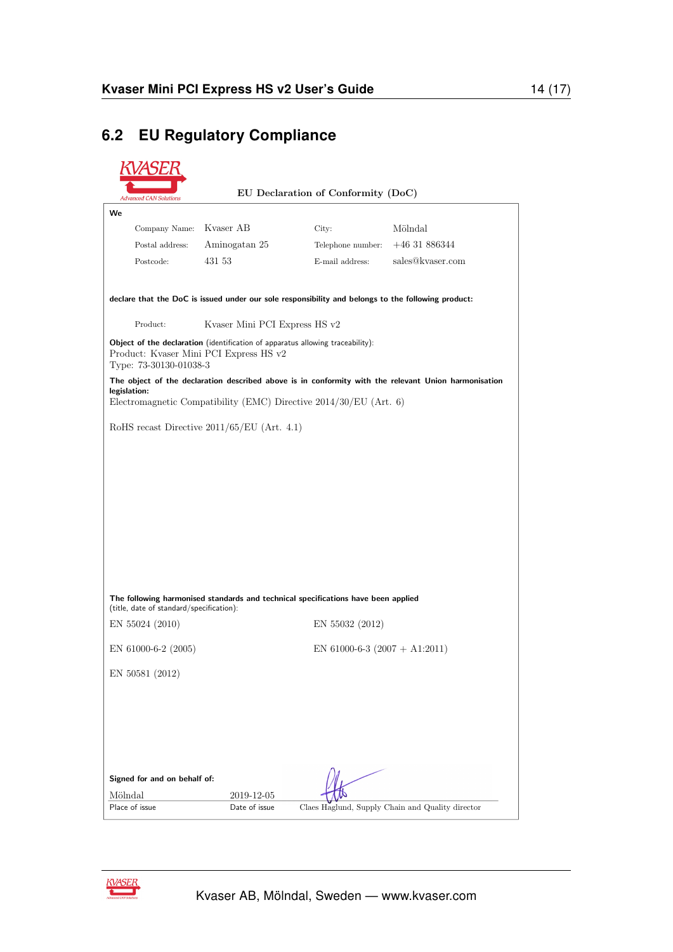## <span id="page-13-0"></span>6.2 EU Regulatory Compliance

|         | <b>Advanced CAN Solutions</b>            |                                                                                                                          | EU Declaration of Conformity (DoC)                                                                 |                                                                                                      |
|---------|------------------------------------------|--------------------------------------------------------------------------------------------------------------------------|----------------------------------------------------------------------------------------------------|------------------------------------------------------------------------------------------------------|
| We      |                                          |                                                                                                                          |                                                                                                    |                                                                                                      |
|         | Company Name:                            | Kvaser AB                                                                                                                | City:                                                                                              | Mölndal                                                                                              |
|         | Postal address:                          | Aminogatan 25                                                                                                            | Telephone number:                                                                                  | $+46\ 31\ 886344$                                                                                    |
|         | Postcode:                                | 431 53                                                                                                                   | E-mail address:                                                                                    | sales@kvaser.com                                                                                     |
|         |                                          |                                                                                                                          | declare that the DoC is issued under our sole responsibility and belongs to the following product: |                                                                                                      |
|         | Product:                                 | Kvaser Mini PCI Express HS v2                                                                                            |                                                                                                    |                                                                                                      |
|         | Type: 73-30130-01038-3                   | Object of the declaration (identification of apparatus allowing traceability):<br>Product: Kvaser Mini PCI Express HS v2 |                                                                                                    |                                                                                                      |
|         | legislation:                             |                                                                                                                          |                                                                                                    | The object of the declaration described above is in conformity with the relevant Union harmonisation |
|         |                                          |                                                                                                                          | Electromagnetic Compatibility (EMC) Directive $2014/30/EU$ (Art. 6)                                |                                                                                                      |
|         |                                          | RoHS recast Directive 2011/65/EU (Art. 4.1)                                                                              |                                                                                                    |                                                                                                      |
|         |                                          |                                                                                                                          |                                                                                                    |                                                                                                      |
|         |                                          |                                                                                                                          |                                                                                                    |                                                                                                      |
|         |                                          |                                                                                                                          |                                                                                                    |                                                                                                      |
|         |                                          |                                                                                                                          |                                                                                                    |                                                                                                      |
|         |                                          |                                                                                                                          |                                                                                                    |                                                                                                      |
|         |                                          |                                                                                                                          |                                                                                                    |                                                                                                      |
|         |                                          |                                                                                                                          |                                                                                                    |                                                                                                      |
|         |                                          |                                                                                                                          |                                                                                                    |                                                                                                      |
|         |                                          |                                                                                                                          |                                                                                                    |                                                                                                      |
|         |                                          |                                                                                                                          |                                                                                                    |                                                                                                      |
|         |                                          |                                                                                                                          |                                                                                                    |                                                                                                      |
|         |                                          |                                                                                                                          |                                                                                                    |                                                                                                      |
|         |                                          |                                                                                                                          |                                                                                                    |                                                                                                      |
|         | (title, date of standard/specification): |                                                                                                                          | The following harmonised standards and technical specifications have been applied                  |                                                                                                      |
|         | EN 55024 (2010)                          |                                                                                                                          | EN 55032 (2012)                                                                                    |                                                                                                      |
|         | EN 61000-6-2 $(2005)$                    |                                                                                                                          | EN 61000-6-3 $(2007 + A1:2011)$                                                                    |                                                                                                      |
|         | EN 50581 (2012)                          |                                                                                                                          |                                                                                                    |                                                                                                      |
|         |                                          |                                                                                                                          |                                                                                                    |                                                                                                      |
|         |                                          |                                                                                                                          |                                                                                                    |                                                                                                      |
|         |                                          |                                                                                                                          |                                                                                                    |                                                                                                      |
|         | Signed for and on behalf of:             |                                                                                                                          |                                                                                                    |                                                                                                      |
| Mölndal |                                          | 2019-12-05                                                                                                               |                                                                                                    |                                                                                                      |

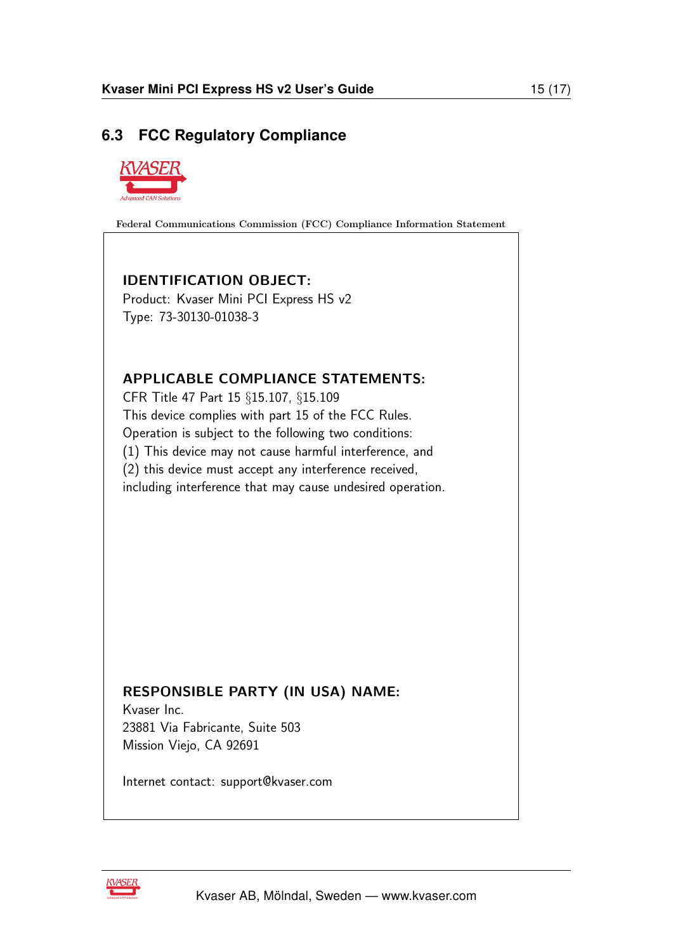#### <span id="page-14-0"></span>6.3 FCC Regulatory Compliance



Federal Communications Commission (FCC) Compliance Information Statement

#### IDENTIFICATION OBJECT:

Product: Kvaser Mini PCI Express HS v2 Type: 73-30130-01038-3

#### APPLICABLE COMPLIANCE STATEMENTS:

CFR Title 47 Part 15 §15.107, §15.109 This device complies with part 15 of the FCC Rules. Operation is subject to the following two conditions: (1) This device may not cause harmful interference, and (2) this device must accept any interference received, including interference that may cause undesired operation.

#### RESPONSIBLE PARTY (IN USA) NAME:

Kvaser Inc. 23881 Via Fabricante, Suite 503 Mission Viejo, CA 92691

Internet contact: support@kvaser.com

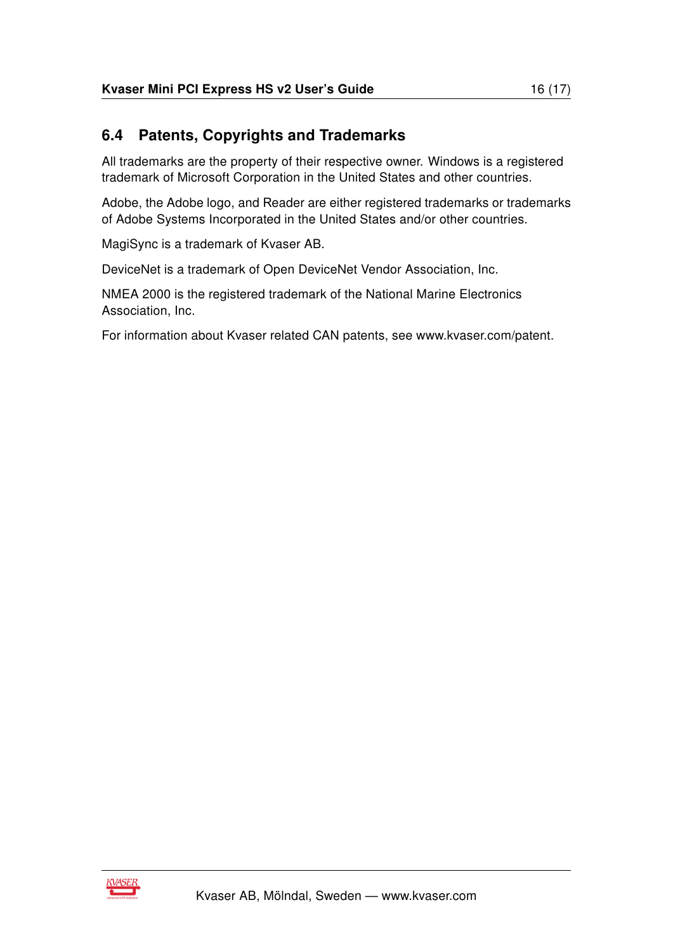#### <span id="page-15-0"></span>6.4 Patents, Copyrights and Trademarks

All trademarks are the property of their respective owner. Windows is a registered trademark of Microsoft Corporation in the United States and other countries.

Adobe, the Adobe logo, and Reader are either registered trademarks or trademarks of Adobe Systems Incorporated in the United States and/or other countries.

MagiSync is a trademark of Kvaser AB.

DeviceNet is a trademark of Open DeviceNet Vendor Association, Inc.

NMEA 2000 is the registered trademark of the National Marine Electronics Association, Inc.

For information about Kvaser related CAN patents, see [www.kvaser.com/patent.](https://www.kvaser.com/patent/)